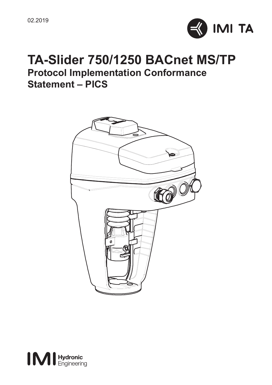

# **TA-Slider 750/1250 BACnet MS/TP Protocol Implementation Conformance Statement – PICS**



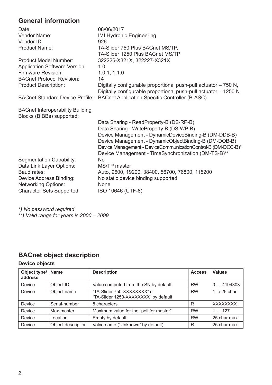## **General information**

| Date:                                                                | 08/06/2017                                                                                                                         |
|----------------------------------------------------------------------|------------------------------------------------------------------------------------------------------------------------------------|
| Vendor Name:                                                         | IMI Hydronic Engineering                                                                                                           |
| Vendor ID:                                                           | 926                                                                                                                                |
| Product Name:                                                        | TA-Slider 750 Plus BACnet MS/TP.                                                                                                   |
|                                                                      | TA-Slider 1250 Plus BACnet MS/TP                                                                                                   |
| Product Model Number:                                                | 322226-X321X, 322227-X321X                                                                                                         |
| <b>Application Software Version:</b>                                 | 1.0                                                                                                                                |
| Firmware Revision:                                                   | 1.0.1; 1.1.0                                                                                                                       |
| <b>BACnet Protocol Revision:</b>                                     | 14                                                                                                                                 |
| <b>Product Description:</b>                                          | Digitally configurable proportional push-pull actuator - 750 N,<br>Digitally configurable proportional push-pull actuator - 1250 N |
| <b>BACnet Standard Device Profile:</b>                               | BACnet Application Specific Controller (B-ASC)                                                                                     |
| <b>BACnet Interoperability Building</b><br>Blocks (BIBBs) supported: |                                                                                                                                    |
|                                                                      | Data Sharing - ReadProperty-B (DS-RP-B)                                                                                            |
|                                                                      | Data Sharing - WriteProperty-B (DS-WP-B)                                                                                           |
|                                                                      | Device Management - DynamicDeviceBinding-B (DM-DDB-B)                                                                              |
|                                                                      | Device Management - DynamicObjectBinding-B (DM-DOB-B)                                                                              |
|                                                                      | Device Management - DeviceCommunicationControl-B (DM-DCC-B)*                                                                       |
|                                                                      | Device Management - TimeSynchronization (DM-TS-B)**                                                                                |
| Segmentation Capability:                                             | <b>No</b>                                                                                                                          |
| Data Link Layer Options:                                             | MS/TP master                                                                                                                       |
| Baud rates:                                                          | Auto, 9600, 19200, 38400, 56700, 76800, 115200                                                                                     |
| Device Address Binding:                                              | No static device binding supported                                                                                                 |
| <b>Networking Options:</b>                                           | None                                                                                                                               |
| <b>Character Sets Supported:</b>                                     | ISO 10646 (UTF-8)                                                                                                                  |
|                                                                      |                                                                                                                                    |

*\*) No password required \*\*) Valid range for years is 2000 – 2099*

## **BACnet object description**

### **Device objects**

| Object type/<br>address | Name               | <b>Description</b>                                                 | <b>Access</b> | <b>Values</b>   |
|-------------------------|--------------------|--------------------------------------------------------------------|---------------|-----------------|
| Device                  | Object ID          | Value computed from the SN by default                              | <b>RW</b>     | 04194303        |
| Device                  | Object name        | "TA-Slider 750-XXXXXXXX" or<br>"TA-Slider 1250-XXXXXXX" by default | <b>RW</b>     | 1 to 25 char    |
| Device                  | Serial-number      | 8 characters                                                       | R             | <b>XXXXXXXX</b> |
| Device                  | Max-master         | Maximum value for the "poll for master"                            | <b>RW</b>     | 1127            |
| Device                  | Location           | Empty by default                                                   | <b>RW</b>     | 25 char max     |
| Device                  | Object description | Valve name ("Unknown" by default)                                  | R             | 25 char max     |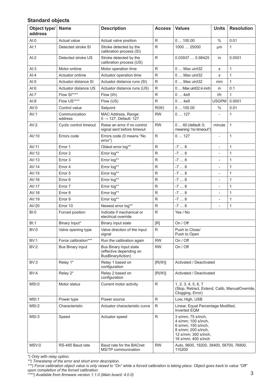#### **Standard objects**

| Object type/<br>address | Name                     | <b>Description</b>                                                    | Access   Values |                                                                                                                                        | Units                    | <b>Resolution</b> |
|-------------------------|--------------------------|-----------------------------------------------------------------------|-----------------|----------------------------------------------------------------------------------------------------------------------------------------|--------------------------|-------------------|
| AI:0                    | Actual value             | Actual valve position                                                 | R               | 0100.00                                                                                                                                | %                        | 0.01              |
| Al:1                    | Detected stroke SI       | Stroke detected by the<br>calibration process (SI)                    | R               | 1000  25000                                                                                                                            | μm                       | 1                 |
| AI:2                    | Detected stroke US       | Stroke detected by the<br>calibration process (US)                    | R               | 0.03937  0.98425                                                                                                                       | in                       | 0.0001            |
| AI:3                    | Motor ontime             | Motor operation time                                                  | R               | 0  Max uint32                                                                                                                          | s                        | 1                 |
| AI:4                    | Actuator ontime          | Actuator operation time                                               | R               | 0  Max uint32                                                                                                                          | s                        | 1                 |
| AI:5                    | Actuator distance SI     | Actuator distance runs (SI)                                           | R               | 0  Max uint32                                                                                                                          | mm                       | 1                 |
| AI:6                    | Actuator distance US     | Actuator distance runs (US)                                           | R               | 0  Max uint32 in inch                                                                                                                  | in                       | 0.1               |
| Al:7                    | Flow SI****              | Flow (I/h)                                                            | R               | 04e9                                                                                                                                   | I/h                      | 1                 |
| AI:8                    | Flow US****              | Flow (US)                                                             | R               | 04e9                                                                                                                                   | <b>USGPM</b>             | 0.0001            |
| AV:0                    | Control value            | Setpoint                                                              | R(W)            | 0100.00                                                                                                                                | %                        | 0.01              |
| AV:1                    | Communication<br>address | MAC Address, Range:<br>$0 \rightarrow 127$ , Default: 127             | <b>RW</b>       | 0127                                                                                                                                   | ä,                       | 1                 |
| AV:2                    | Cyclic control timeout   | Raise an error if no control<br>signal sent before timeout            | <b>RW</b>       | $060$ (default: 0;<br>meaning "no timeout")                                                                                            | minute                   | 1                 |
| AV:10                   | Errors code              | Errors code (0 means "No<br>error")                                   | R               | 0127                                                                                                                                   | ×,                       | 1                 |
| AV:11                   | Error 1                  | Oldest error log**                                                    | R               | $-78$                                                                                                                                  | ÷                        | 1                 |
| AV:12                   | Error 2                  | Error log**                                                           | R               | $-78$                                                                                                                                  | $\bar{a}$                | 1                 |
| AV:13                   | Error 3                  | Error log**                                                           | R               | $-78$                                                                                                                                  | $\overline{\phantom{a}}$ | 1                 |
| AV:14                   | Error 4                  | Error log**                                                           | R               | $-78$                                                                                                                                  | ÷,                       | 1                 |
| AV:15                   | Error 5                  | Error log**                                                           | R               | $-78$                                                                                                                                  | ×,                       | 1                 |
| AV:16                   | Error 6                  | Error log**                                                           | R               | $-78$                                                                                                                                  | ÷,                       | $\overline{1}$    |
| AV:17                   | Error 7                  | Error log**                                                           | R               | $-78$                                                                                                                                  | $\sim$                   | 1                 |
| AV:18                   | Error 8                  | Error log**                                                           | R               | $-78$                                                                                                                                  | $\bar{a}$                | $\mathbf{1}$      |
| AV:19                   | Error 9                  | Error log**                                                           | R               | $-78$                                                                                                                                  | $\sim$                   | 1                 |
| AV:20                   | Error 10                 | Newest error log**                                                    | R               | $-78$                                                                                                                                  | $\overline{\phantom{a}}$ | 1                 |
| B1:0                    | Forced position          | Indicate if mechanical or<br>electrical override                      | R               | Yes / No                                                                                                                               |                          |                   |
| B1:1                    | Binary Input*            | Binary input state                                                    | [R]             | On / Off                                                                                                                               |                          |                   |
| BV:0                    | Valve opening type       | Valve direction of the input<br>signal                                | R               | Push to Close/<br>Push to Open                                                                                                         |                          |                   |
| <b>BV:1</b>             | Force calibration***     | Run the calibration again                                             | <b>RW</b>       | On / Off                                                                                                                               |                          |                   |
| BV:2                    | <b>Bus Binary input</b>  | Bus Binary input state<br>(effective depending on<br>BusBinaryAction) | <b>RW</b>       | On / Off                                                                                                                               |                          |                   |
| BV:3                    | Relay 1*                 | Relay 1 based on<br>configuration                                     | [R(W)]          | Activated / Deactivated                                                                                                                |                          |                   |
| BV:4                    | Relay 2*                 | Relay 2 based on<br>configuration                                     | [R(W)]          | Activated / Deactivated                                                                                                                |                          |                   |
| MSI:0                   | Motor status             | Current motor activity                                                | R               | 1, 2, 3, 4, 5, 6, 7<br>(Stop, Retract, Extend, Calib, ManualOverride,<br>Clogging, Error)                                              |                          |                   |
| MSI:1                   | Power type               | Power source                                                          | R               | Low, High, USB                                                                                                                         |                          |                   |
| MSI:2                   | Characteristic           | Actuator characteristic curve                                         | R               | Linear, Equal Percentage Modified,<br>Inverted EQM                                                                                     |                          |                   |
| MSI:3                   | Speed                    | Actuator speed                                                        | R               | 3 s/mm; 75 s/inch,<br>4 s/mm; 100 s/inch,<br>6 s/mm; 150 s/inch,<br>8 s/mm; 200 s/inch,<br>12 s/mm; 300 s/inch,<br>16 s/mm; 400 s/inch |                          |                   |
| MSV:0                   | RS-485 Baud rate         | Baud rate for the BACnet<br>MS/TP communication                       | <b>RW</b>       | Auto, 9600, 19200, 38400, 56700, 76800,<br>115200                                                                                      |                          |                   |

*\*\*\*\*) Available from firmware version 1.1.0 (Main board: 4.0.0)*

<sup>\*)</sup> Only with relay option.<br>\*\*) Timestamp of the error and short error description.<br>\*\*\*) Force calibration object value is only raised to "On" while a forced calibration is taking place. Object goes back to value "Off"<br>\*\*\*)